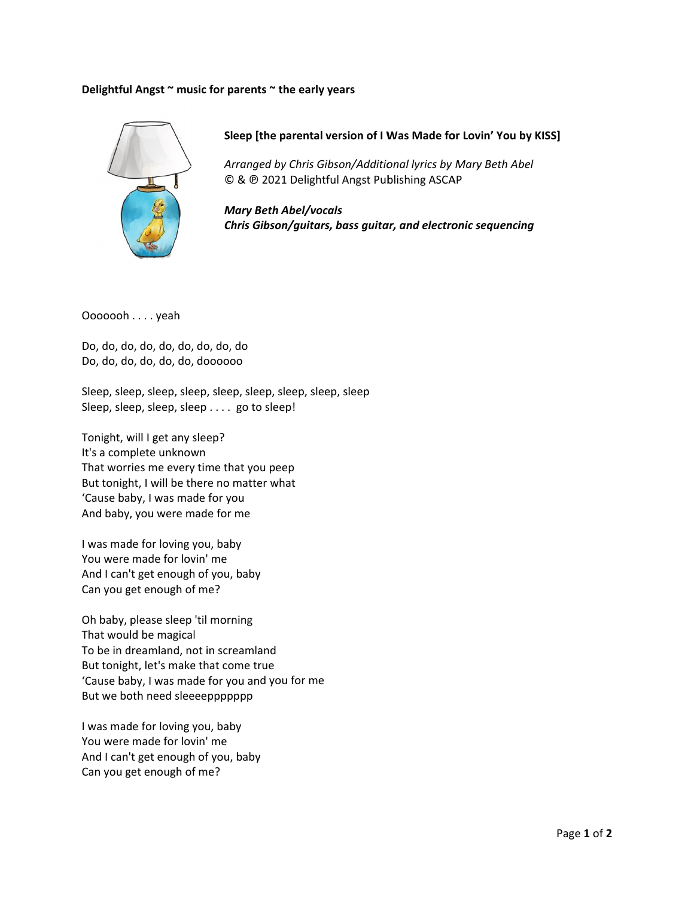## **Delightfu l Angst ~ mus sic for parent ts ~ the early**



**Sleep [ the parental version of I W Was Made fo or Lovin' You by KISS]**

*Arrang ed by Chris G Gibson/Additio onal lyrics by Mary Beth A bel* © & @ 2021 Delightful Angst Publishing ASCAP

*Mary B Beth Abel/voc cals Chris G Gibson/guitar rs, bass guita ar, and electro onic sequenci ing*

Ooooooh . . . . yeah

Do, do, do o, do, do, do, do, do, do Do, do, do o, do, do, do, doooooo

Sleep, sle ep, sleep, sle ep, sleep, sle ep, sleep, sle ep, sleep Sleep, sleep, sleep, sleep . . . . go to sleep!

Tonight, will I get any sleep? It's a complete unknown That worries me every time that you peep But tonight, I will be there no matter what 'Cause baby, I was made for you And baby , you were m ade for me

I was made for loving you, baby You were made for lovin' me And I can' 't get enough h of you, baby Can you get enough of me?

Oh baby, please sleep 'til morning That wou ld be magical And I can't get enough of you, baby<br>Can you get enough of me?<br>Oh baby, please sleep 'til morning<br>That would be magical<br>To be in dreamland, not in screamland But tonight, let's make that come true 'Cause baby, I was made for you and you for me But we both need sleeeeppppppp ts ~ the early years<br>[the parental versic<br>*ged by Chris Gibson/*<br><sup>9</sup> 2021 Delightful An<br>*Beth Abel/vocals<br>Gibson/guitars, bas.<br>eep, sleep, sleep, sleep, sleo<br>o sleep!<br>pu peep<br>er what<br>and<br>yu for me<br>what* 

I was made for loving you, baby You were made for lovin' me And I can' 't get enough h of you, baby Can you get enough of me?